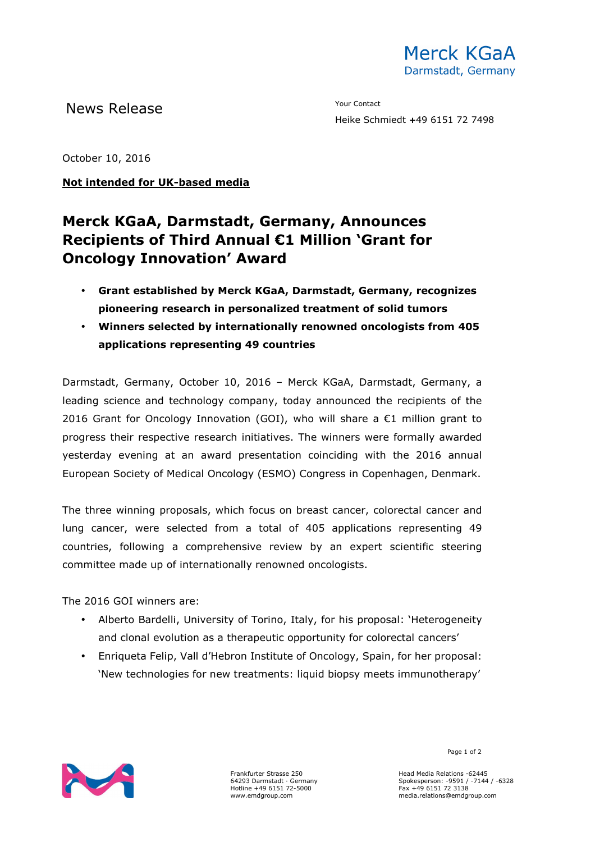News Release The Contact Terms of the Mean of the Mean of the Vour Contact

Heike Schmiedt **+**49 6151 72 7498

October 10, 2016

## **Not intended for UK-based media**

## **Merck KGaA, Darmstadt, Germany, Announces Recipients of Third Annual €1 Million 'Grant for Oncology Innovation' Award**

- **Grant established by Merck KGaA, Darmstadt, Germany, recognizes pioneering research in personalized treatment of solid tumors**
- **Winners selected by internationally renowned oncologists from 405 applications representing 49 countries**

Darmstadt, Germany, October 10, 2016 – Merck KGaA, Darmstadt, Germany, a leading science and technology company, today announced the recipients of the 2016 Grant for Oncology Innovation (GOI), who will share a  $\epsilon$ 1 million grant to progress their respective research initiatives. The winners were formally awarded yesterday evening at an award presentation coinciding with the 2016 annual European Society of Medical Oncology (ESMO) Congress in Copenhagen, Denmark.

The three winning proposals, which focus on breast cancer, colorectal cancer and lung cancer, were selected from a total of 405 applications representing 49 countries, following a comprehensive review by an expert scientific steering committee made up of internationally renowned oncologists.

The 2016 GOI winners are:

- Alberto Bardelli, University of Torino, Italy, for his proposal: 'Heterogeneity and clonal evolution as a therapeutic opportunity for colorectal cancers'
- Enriqueta Felip, Vall d'Hebron Institute of Oncology, Spain, for her proposal: 'New technologies for new treatments: liquid biopsy meets immunotherapy'



Frankfurter Strasse 250 64293 Darmstadt · Germany Hotline +49 6151 72-5000 www.emdgroup.com

Page 1 of 2

Head Media Relations -62445 Spokesperson: -9591 / -7144 / -6328 Fax +49 6151 72 3138 media.relations@emdgroup.com